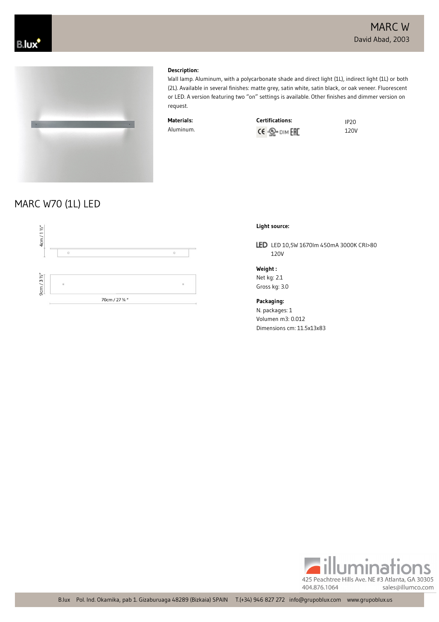**Certifications:** IP20 120V



#### **Description:**

Wall lamp. Aluminum, with a polycarbonate shade and direct light (1L), indirect light (1L) or both (2L). Available in several finishes: matte grey, satin white, satin black, or oak veneer. Fluorescent or LED. A version featuring two "on" settings is available. Other finishes and dimmer version on request.

| Materials: | <b>Certifications:</b>     |
|------------|----------------------------|
| Aluminum.  | CE · <sub>Se</sub> DIM EHE |

## MARC W70 (1L) LED



### **Light source:**

LED LED 10,5W 1670lm 450mA 3000K CRI>80 120V

**Weight :** Net kg: 2.1 Gross kg: 3.0

**Packaging:**

N. packages: 1 Volumen m3: 0.012 Dimensions cm: 11.5x13x83

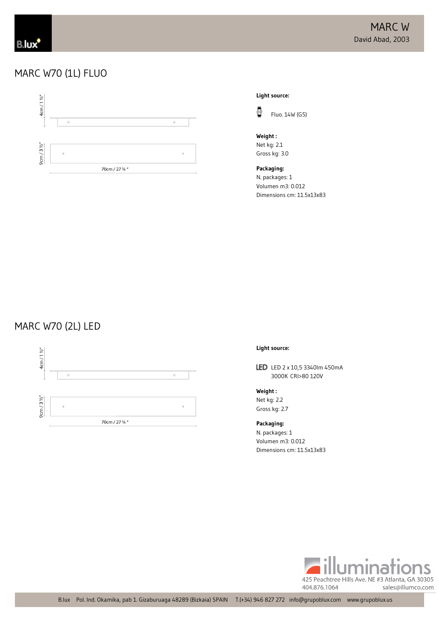## MARC W70 (1L) FLUO



**Light source:**



**Weight :** Net kg: 2.1 Gross kg: 3.0

**Packaging:** N. packages: 1 Volumen m3: 0.012 Dimensions cm: 11.5x13x83 

## MARC W70 (2L) LED



#### **Light source:**

LED LED 2 x 10,5 3340lm 450mA 3000K CRI>80 120V

**Weight :** Net kg: 2.2 Gross kg: 2.7

**Packaging:** N. packages: 1 Volumen m3: 0.012 Dimensions cm: 11.5x13x83

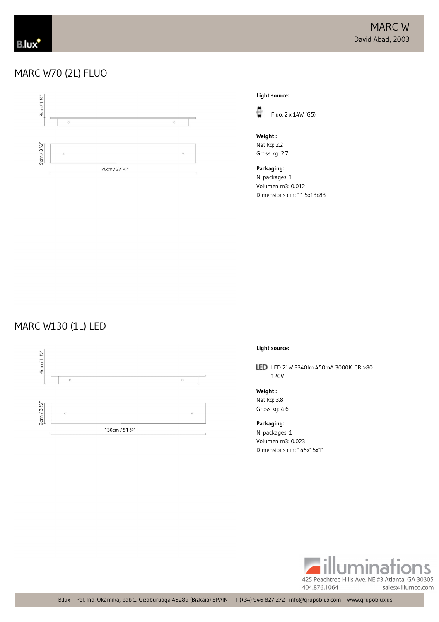## MARC W70 (2L) FLUO



#### **Light source:**



**Weight :** Net kg: 2.2 Gross kg: 2.7

**Packaging:** N. packages: 1 Volumen m3: 0.012 Dimensions cm: 11.5x13x83

# MARC W130 (1L) LED



#### **Light source:**

LED LED 21W 3340lm 450mA 3000K CRI>80 120V

**Weight :** Net kg: 3.8 Gross kg: 4.6

**Packaging:** N. packages: 1 Volumen m3: 0.023 Dimensions cm: 145x15x11

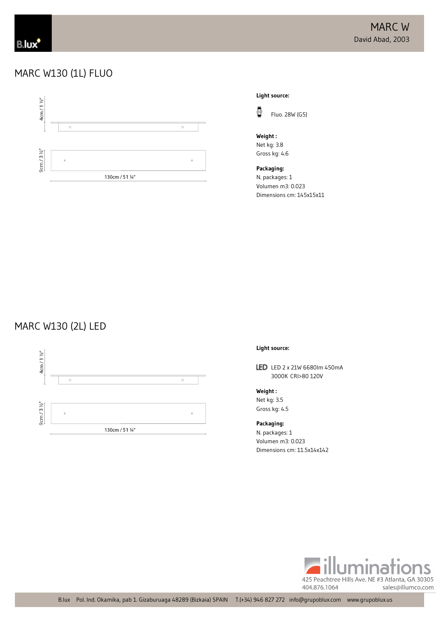### MARC W130 (1L) FLUO



**Light source:**



**Weight :** Net kg: 3.8 Gross kg: 4.6

**Packaging:** N. packages: 1 Volumen m3: 0.023 Dimensions cm: 145x15x11

## MARC W130 (2L) LED



#### **Light source:**

LED LED 2 x 21W 6680lm 450mA 3000K CRI>80 120V

**Weight :** Net kg: 3.5 Gross kg: 4.5

**Packaging:** N. packages: 1

Volumen m3: 0.023 Dimensions cm: 11.5x14x142

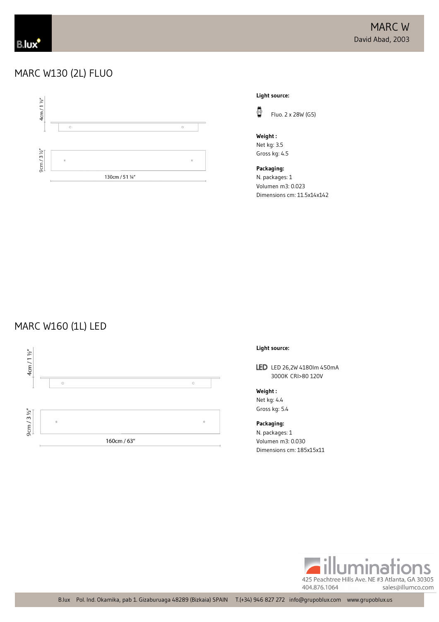### MARC W130 (2L) FLUO



**Light source:**



Fluo. 2 x 28W (G5)

**Weight :** Net kg: 3.5 Gross kg: 4.5

**Packaging:** N. packages: 1 Volumen m3: 0.023 Dimensions cm: 11.5x14x142

### MARC W160 (1L) LED



#### **Light source:**

LED LED 26,2W 4180lm 450mA 3000K CRI>80 120V

**Weight :** Net kg: 4.4 Gross kg: 5.4

### **Packaging:**

N. packages: 1 Volumen m3: 0.030 Dimensions cm: 185x15x11

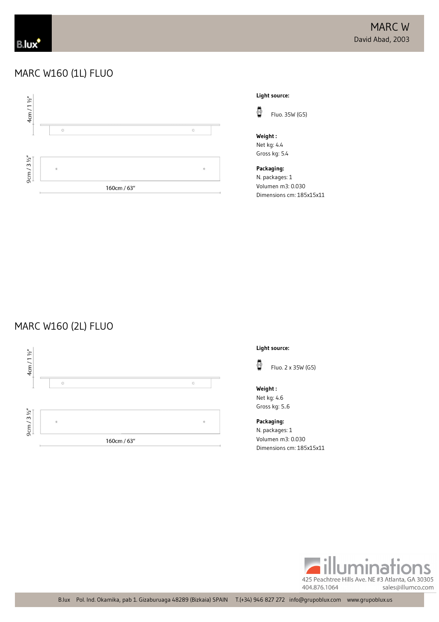### MARC W160 (1L) FLUO



### **Light source:**



Fluo. 35W (G5)

**Weight :** Net kg: 4.4 Gross kg: 5.4

**Packaging:** N. packages: 1 Volumen m3: 0.030 Dimensions cm: 185x15x11

# MARC W160 (2L) FLUO



**Light source:**



**Weight :** Net kg: 4.6 Gross kg: 5..6

**Packaging:** N. packages: 1 Volumen m3: 0.030 Dimensions cm: 185x15x11